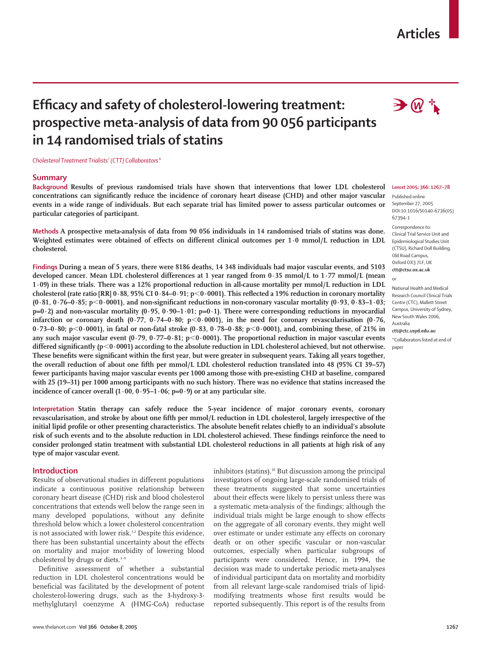## **Articles**

# **Efficacy and safety of cholesterol-lowering treatment: prospective meta-analysis of data from 90 056 participants in 14 randomised trials of statins**

*Cholesterol Treatment Trialists' (CTT) Collaborators\**

#### **Summary**

**Background Results of previous randomised trials have shown that interventions that lower LDL cholesterol concentrations can significantly reduce the incidence of coronary heart disease (CHD) and other major vascular events in a wide range of individuals. But each separate trial has limited power to assess particular outcomes or particular categories of participant.**

**Methods A prospective meta-analysis of data from 90 056 individuals in 14 randomised trials of statins was done. Weighted estimates were obtained of effects on different clinical outcomes per 1·0 mmol/L reduction in LDL cholesterol.** 

**Findings During a mean of 5 years, there were 8186 deaths, 14 348 individuals had major vascular events, and 5103 developed cancer. Mean LDL cholesterol differences at 1 year ranged from 0·35 mmol/L to 1·77 mmol/L (mean 1·09) in these trials. There was a 12% proportional reduction in all-cause mortality per mmol/L reduction in LDL cholesterol (rate ratio [RR] 0·88, 95% CI 0·84–0·91; p**-**0·0001). This reflected a 19% reduction in coronary mortality (0·81, 0·76–0·85; p**-**0·0001), and non-significant reductions in non-coronary vascular mortality (0·93, 0·83–1·03; p=0·2) and non-vascular mortality (0·95, 0·90–1·01; p=0·1). There were corresponding reductions in myocardial infarction or coronary death (0·77, 0·74–0·80; p**-**0·0001), in the need for coronary revascularisation (0·76, 0·73–0·80; p**-**0·0001), in fatal or non-fatal stroke (0·83, 0·78–0·88; p**-**0·0001), and, combining these, of 21% in any such major vascular event (0·79, 0·77–0·81; p**-**0·0001). The proportional reduction in major vascular events differed significantly (p**-**0·0001) according to the absolute reduction in LDL cholesterol achieved, but not otherwise. These benefits were significant within the first year, but were greater in subsequent years. Taking all years together, the overall reduction of about one fifth per mmol/L LDL cholesterol reduction translated into 48 (95% CI 39–57) fewer participants having major vascular events per 1000 among those with pre-existing CHD at baseline, compared with 25 (19–31) per 1000 among participants with no such history. There was no evidence that statins increased the incidence of cancer overall (1·00, 0·95–1·06; p=0·9) or at any particular site.**

**Interpretation Statin therapy can safely reduce the 5-year incidence of major coronary events, coronary revascularisation, and stroke by about one fifth per mmol/L reduction in LDL cholesterol, largely irrespective of the initial lipid profile or other presenting characteristics. The absolute benefit relates chiefly to an individual's absolute risk of such events and to the absolute reduction in LDL cholesterol achieved. These findings reinforce the need to consider prolonged statin treatment with substantial LDL cholesterol reductions in all patients at high risk of any type of major vascular event.**

## **Introduction**

Results of observational studies in different populations indicate a continuous positive relationship between coronary heart disease (CHD) risk and blood cholesterol concentrations that extends well below the range seen in many developed populations, without any definite threshold below which a lower cholesterol concentration is not associated with lower risk.<sup>1,2</sup> Despite this evidence, there has been substantial uncertainty about the effects on mortality and major morbidity of lowering blood cholesterol by drugs or diets.<sup>3-9</sup>

Definitive assessment of whether a substantial reduction in LDL cholesterol concentrations would be beneficial was facilitated by the development of potent cholesterol-lowering drugs, such as the 3-hydroxy-3 methylglutaryl coenzyme A (HMG-CoA) reductase inhibitors (statins).10 But discussion among the principal investigators of ongoing large-scale randomised trials of these treatments suggested that some uncertainties about their effects were likely to persist unless there was a systematic meta-analysis of the findings; although the individual trials might be large enough to show effects on the aggregate of all coronary events, they might well over estimate or under estimate any effects on coronary death or on other specific vascular or non-vascular outcomes, especially when particular subgroups of participants were considered. Hence, in 1994, the decision was made to undertake periodic meta-analyses of individual participant data on mortality and morbidity from all relevant large-scale randomised trials of lipidmodifying treatments whose first results would be reported subsequently. This report is of the results from



#### *Lancet* **2005; 366: 1267–78**

Published online September 27, 2005 DOI:10.1016/S0140-6736(05) 67394-1

Correspondence to: Clinical Trial Service Unit and Epidemiological Studies Unit (CTSU), Richard Doll Building, Old Road Campus, Oxford OX3 7LF, UK **ctt@ctsu.ox.ac.uk**

or

National Health and Medical Research Council Clinical Trials Centre (CTC), Mallett Street Campus, University of Sydney, New South Wales 2006, Australia **ctt@ctc.usyd.edu.au** \*Collaborators listed at end of paper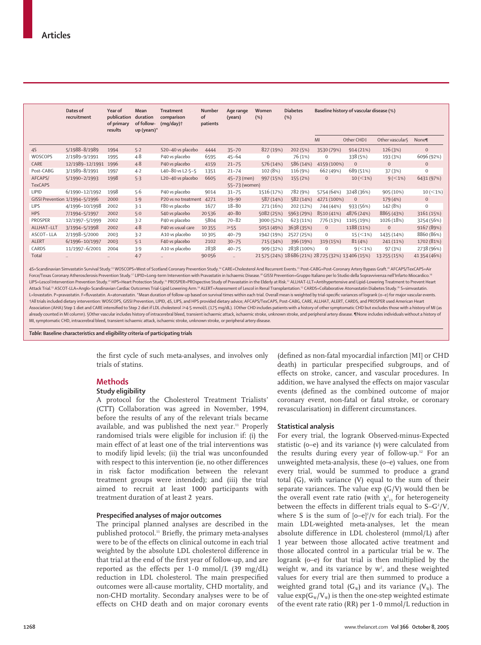|                | Dates of<br>recruitment        | Year of<br>publication<br>of primary<br>results | Mean<br>duration<br>of follow-<br>up (years)* | <b>Treatment</b><br>comparison<br>$(mq/day)$ † | Number<br>of<br>patients | Age range<br>(years) | Women<br>(%) | <b>Diabetes</b><br>(%)                              |              | Baseline history of vascular disease (%) |                 |              |
|----------------|--------------------------------|-------------------------------------------------|-----------------------------------------------|------------------------------------------------|--------------------------|----------------------|--------------|-----------------------------------------------------|--------------|------------------------------------------|-----------------|--------------|
|                |                                |                                                 |                                               |                                                |                          |                      |              |                                                     | MI           | Other CHD‡                               | Other vascular§ | None¶        |
| 45             | 5/1988-8/1989                  | 1994                                            | 5.2                                           | S20-40 vs placebo                              | 4444                     | $35 - 70$            | 827 (19%)    | 202 (5%)                                            | 3530 (79%)   | 914(21%)                                 | 126 (3%)        | $\mathbf{0}$ |
| WOSCOPS        | 2/1989-9/1991                  | 1995                                            | $4 - 8$                                       | P40 vs placebo                                 | 6595                     | $45 - 64$            | 0            | 76 (1%)                                             | $\mathbf 0$  | 338 (5%)                                 | 193 (3%)        | 6096 (92%)   |
| CARE           | 12/1989-12/1991                | 1996                                            | $4 - 8$                                       | P40 vs placebo                                 | 4159                     | $21 - 75$            | 576 (14%)    | 586 (14%)                                           | 4159 (100%)  | $\overline{0}$                           | $\mathbf{0}$    | $\mathbf 0$  |
| Post-CABG      | 3/1989-8/1991                  | 1997                                            | $4-2$                                         | L40-80 vs L2-5-5                               | 1351                     | $21 - 74$            | 102 (8%)     | 116 (9%)                                            | 662 (49%)    | 689 (51%)                                | 37(3%)          | $\mathbf 0$  |
| AFCAPS/        | 5/1990-2/1993                  | 1998                                            | 5.3                                           | L20-40 vs placebo                              | 6605                     | 45-73 (men)          | 997 (15%)    | 155 (2%)                                            | $\mathbf{0}$ | $10 \, (< 1\%)$                          | $9 (< 1\%)$     | 6431 (97%)   |
| <b>TexCAPS</b> |                                |                                                 |                                               |                                                |                          | 55-73 (women)        |              |                                                     |              |                                          |                 |              |
| <b>LIPID</b>   | 6/1990-12/1992                 | 1998                                            | 5.6                                           | P40 vs placebo                                 | 9014                     | $31 - 75$            | 1516 (17%)   | 782 (9%)                                            | 5754 (64%)   | 3248 (36%)                               | 905 (10%)       | $10 (< 1\%)$ |
|                | GISSI Prevention 1/1994-5/1996 | 2000                                            | 1.9                                           | P20 vs no treatment                            | 4271                     | $19 - 90$            | 587 (14%)    | 582 (14%)                                           | 4271 (100%)  | $\mathbf{0}$                             | 179 (4%)        | $\mathbf 0$  |
| <b>LIPS</b>    | 4/1996-10/1998                 | 2002                                            | 3.1                                           | F80 vs placebo                                 | 1677                     | 18-80                | 271 (16%)    | 202 (12%)                                           | 744 (44%)    | 933 (56%)                                | 142 (8%)        | $\mathbf 0$  |
| <b>HPS</b>     | 7/1994-5/1997                  | 2002                                            | $5-0$                                         | S40 vs placebo                                 | 20536                    | $40 - 80$            | 5082 (25%)   | 5963 (29%)                                          | 8510 (41%)   | 4876 (24%)                               | 8865 (43%)      | 3161 (15%)   |
| <b>PROSPER</b> | 12/1997-5/1999                 | 2002                                            | 3.2                                           | P40 vs placebo                                 | 5804                     | $70 - 82$            | 3000 (52%)   | 623 (11%)                                           | 776 (13%)    | 1105 (19%)                               | 1026 (18%)      | 3254 (56%)   |
| ALLHAT-LLT     | 3/1994-5/1998                  | 2002                                            | $4 - 8$                                       | P40 vs usual care                              | 10355                    | $\geq 55$            | 5051 (49%)   | 3638 (35%)                                          | $\mathbf{0}$ | 1188 (11%)                               | $\mathbf{0}$    | 9167 (89%)   |
| ASCOT-LLA      | 2/1998-5/2000                  | 2003                                            | 3.2                                           | A10 vs placebo                                 | 10305                    | $40 - 79$            | 1942 (19%)   | 2527 (25%)                                          | $\mathbf{0}$ | $15 ( \leq 1\%)$                         | 1435 (14%)      | 8860 (86%)   |
| <b>ALERT</b>   | 6/1996-10/1997                 | 2003                                            | $5-1$                                         | F40 vs placebo                                 | 2102                     | $30 - 75$            | 715 (34%)    | 396 (19%)                                           | 319 (15%)    | 81(4%)                                   | 241 (11%)       | 1702 (81%)   |
| CARDS          | 11/1997-6/2001                 | 2004                                            | 3.9                                           | A10 vs placebo                                 | 2838                     | $40 - 75$            | 909 (32%)    | 2838 (100%)                                         | $\mathbf 0$  | $9 (< 1\%)$                              | 97 (3%)         | 2738 (96%)   |
| Total          | $\ddot{\phantom{a}}$           | $\ddot{\phantom{a}}$                            | 4.7                                           | $\ddot{\phantom{a}}$                           | 90056                    | $\ddotsc$            |              | 21 575 (24%) 18 686 (21%) 28 725 (32%) 13 406 (15%) |              |                                          | 13 255 (15%)    | 41 354 (46%) |

4S=Scandinavian Simvastatin Survival Study.<sup>13</sup> WOSCOPS=West of Scotland Coronary Prevention Study.<sup>14</sup> CARE=Cholesterol And Recurrent Events.<sup>15</sup> Post-CABG=Post-Coronary Artery Bypass Graft.<sup>16</sup> AFCAPS/TexCAPS=Air Force/Texas Coronary Atherosclerosis Prevention Study.<sup>17</sup> LIPID=Long-term Intervention with Pravastatin in Ischaemic Disease.<sup>18</sup> GISSI Prevention=Gruppo Italiano per lo Studio della Sopravvivenza nell'Infarto Miocardico. LIPS=Lescol Intervention Prevention Study.20 HPS=Heart Protection Study.21 PROSPER=PROspective Study of Pravastatin in the Elderly at Risk.22 ALLHAT-LLT=Antihypertensive and Lipid-Lowering Treatment to Prevent Heart Attack Trial.<sup>33</sup> ASCOT-LLA=Anglo-Scandinavian Cardiac Outcomes Trial-Lipid Lowering Arm.<sup>24</sup> ALERT=Assessment of Lescol in Renal Transplantation.<sup>25</sup> CARDS=Collaborative Atorvastatin Diabetes Study.<sup>26</sup> S=simvastatin. L=lovastatin. P=pravastatin. F=fluvastatin. A=atorvastatin. \*Mean duration of follow-up based on survival times within each trial. Overall mean is weighted by trial-specific variances of logrank (o-e) for major vascular ev †All trials included dietary intervention: WOSCOPS, GISSI Prevention, LIPID, 4S, LIPS, and HPS provided dietary advice; AFCAPS/TexCAPS, Post-CABG, CARE, ALLHAT, ALERT, CARDS, and PROSPER used American Heart Association (AHA) Step 1 diet and CARE intensified to Step 2 diet if LDL cholesterol 4·5 mmol/L (175 mg/dL). ‡Other CHD includes patients with a history of other symptomatic CHD but excludes those with a history of MI (as already counted in MI column). SOther vascular includes history of intracerebral bleed, transient ischaemic attack, ischaemic stroke, unknown stroke, and peripheral artery disease. TNone includes individuals without a hist MI, symptomatic CHD, intracerebral bleed, transient ischaemic attack, ischaemic stroke, unknown stroke, or peripheral artery disease.

*Table:* **Baseline characteristics and eligibility criteria of participating trials**

the first cycle of such meta-analyses, and involves only trials of statins.

## **Methods**

#### **Study eligibility**

A protocol for the Cholesterol Treatment Trialists' (CTT) Collaboration was agreed in November, 1994, before the results of any of the relevant trials became available, and was published the next year.<sup>11</sup> Properly randomised trials were eligible for inclusion if: (i) the main effect of at least one of the trial interventions was to modify lipid levels; (ii) the trial was unconfounded with respect to this intervention (ie, no other differences in risk factor modification between the relevant treatment groups were intended); and (iii) the trial aimed to recruit at least 1000 participants with treatment duration of at least 2 years.

#### **Prespecified analyses of major outcomes**

The principal planned analyses are described in the published protocol.<sup>11</sup> Briefly, the primary meta-analyses were to be of the effects on clinical outcome in each trial weighted by the absolute LDL cholesterol difference in that trial at the end of the first year of follow-up, and are reported as the effects per 1**·**0 mmol/L (39 mg/dL) reduction in LDL cholesterol. The main prespecified outcomes were all-cause mortality, CHD mortality, and non-CHD mortality. Secondary analyses were to be of effects on CHD death and on major coronary events (defined as non-fatal myocardial infarction [MI] or CHD death) in particular prespecified subgroups, and of effects on stroke, cancer, and vascular procedures. In addition, we have analysed the effects on major vascular events (defined as the combined outcome of major coronary event, non-fatal or fatal stroke, or coronary revascularisation) in different circumstances.

#### **Statistical analysis**

For every trial, the logrank Observed-minus-Expected statistic (o–e) and its variance (v) were calculated from the results during every year of follow-up.<sup>12</sup> For an unweighted meta-analysis, these (o–e) values, one from every trial, would be summed to produce a grand total (G), with variance (V) equal to the sum of their separate variances. The value  $\exp(G/V)$  would then be the overall event rate ratio (with  $\chi^{\scriptscriptstyle 2}_{\scriptscriptstyle 13}$  for heterogeneity between the effects in different trials equal to  $S-G^2/V$ , where S is the sum of  $[0–e]^2$ /v for each trial). For the main LDL-weighted meta-analyses, let the mean absolute difference in LDL cholesterol (mmol/L) after 1 year between those allocated active treatment and those allocated control in a particular trial be w. The logrank (o–e) for that trial is then multiplied by the weight w, and its variance by  $w^2$ , and these weighted values for every trial are then summed to produce a weighted grand total  $(G_w)$  and its variance  $(V_w)$ . The value  $\exp(G_w/V_w)$  is then the one-step weighted estimate of the event rate ratio (RR) per 1**·**0 mmol/L reduction in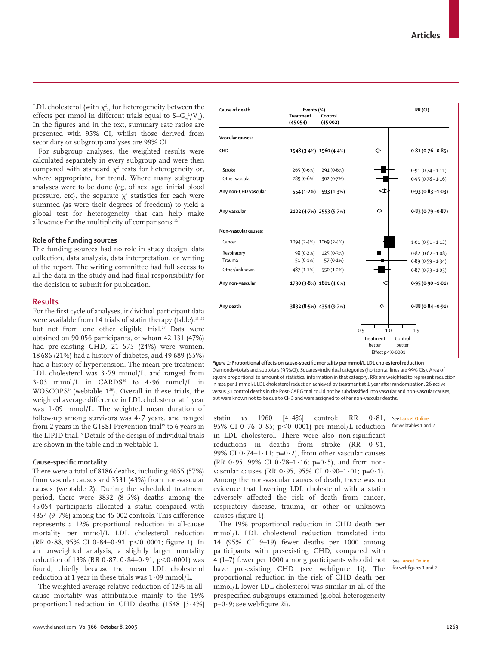LDL cholesterol (with  $\chi^2_{13}$  for heterogeneity between the effects per mmol in different trials equal to S– $G_w^2/V_w$ ). In the figures and in the text, summary rate ratios are presented with 95% CI, whilst those derived from secondary or subgroup analyses are 99% CI.

For subgroup analyses, the weighted results were calculated separately in every subgroup and were then compared with standard  $\chi^2$  tests for heterogeneity or, where appropriate, for trend. Where many subgroup analyses were to be done (eg, of sex, age, initial blood pressure, etc), the separate  $\chi^2$  statistics for each were summed (as were their degrees of freedom) to yield a global test for heterogeneity that can help make allowance for the multiplicity of comparisons.<sup>12</sup>

## **Role of the funding sources**

The funding sources had no role in study design, data collection, data analysis, data interpretation, or writing of the report. The writing committee had full access to all the data in the study and had final responsibility for the decision to submit for publication.

## **Results**

For the first cycle of analyses, individual participant data were available from 14 trials of statin therapy (table), $13-26$ but not from one other eligible trial.<sup>27</sup> Data were obtained on 90 056 participants, of whom 42 131 (47%) had pre-existing CHD, 21 575 (24%) were women, 18 686 (21%) had a history of diabetes, and 49 689 (55%) had a history of hypertension. The mean pre-treatment LDL cholesterol was 3·79 mmol/L, and ranged from  $3.03$  mmol/L in CARDS<sup>26</sup> to  $4.96$  mmol/L in WOSCOPS14 (webtable 128). Overall in these trials, the weighted average difference in LDL cholesterol at 1 year was 1·09 mmol/L. The weighted mean duration of follow-up among survivors was 4**·**7 years, and ranged from 2 years in the GISSI Prevention trial<sup>19</sup> to 6 years in the LIPID trial.<sup>18</sup> Details of the design of individual trials are shown in the table and in webtable 1.

## **Cause-specific mortality**

There were a total of 8186 deaths, including 4655 (57%) from vascular causes and 3531 (43%) from non-vascular causes (webtable 2). During the scheduled treatment period, there were 3832 (8·5%) deaths among the 45 054 participants allocated a statin compared with 4354 (9·7%) among the 45 002 controls. This difference represents a 12% proportional reduction in all-cause mortality per mmol/L LDL cholesterol reduction  $(RR 0.88, 95\% CI 0.84-0.91; p<0.0001; figure 1).$  In an unweighted analysis, a slightly larger mortality reduction of 13% (RR 0·87, 0·84–0·91; p<0·0001) was found, chiefly because the mean LDL cholesterol reduction at 1 year in these trials was 1·09 mmol/L.

The weighted average relative reduction of 12% in allcause mortality was attributable mainly to the 19% proportional reduction in CHD deaths (1548 [3·4%]



*Figure 1:* **Proportional effects on cause-specific mortality per mmol/L LDL cholesterol reduction** Diamonds=totals and subtotals (95%CI). Squares=individual categories (horizontal lines are 99% CIs). Area of square proportional to amount of statistical information in that category. RRs are weighted to represent reduction in rate per 1 mmol/L LDL cholesterol reduction achieved by treatment at 1 year after randomisation. 26 active versus 31 control deaths in the Post-CABG trial could not be subclassified into vascular and non-vascular causes, but were known not to be due to CHD and were assigned to other non-vascular deaths.

statin *vs* 1960 [4.4%] control: RR 95% CI 0·76–0·85; p<0·0001) per mmol/L reduction in LDL cholesterol. There were also non-significant reductions in deaths from stroke (RR 0·91, 99% CI 0 $-74-1.11$ ; p=0 $-2$ ), from other vascular causes (RR 0.95, 99% CI 0.78–1.16; p=0.5), and from nonvascular causes (RR 0·95, 95% CI 0·90–1·01; p=0·1). Among the non-vascular causes of death, there was no evidence that lowering LDL cholesterol with a statin adversely affected the risk of death from cancer, respiratory disease, trauma, or other or unknown causes (figure 1).

The 19% proportional reduction in CHD death per mmol/L LDL cholesterol reduction translated into 14 (95% CI 9–19) fewer deaths per 1000 among participants with pre-existing CHD, compared with 4 (1–7) fewer per 1000 among participants who did not See **Lancet Online** have pre-existing CHD (see webfigure 1i). The proportional reduction in the risk of CHD death per mmol/L lower LDL cholesterol was similar in all of the prespecified subgroups examined (global heterogeneity  $p=0.9$ ; see webfigure 2i).

0.81, See **Lancet Online** for webtables 1 and 2

for webfigures 1 and 2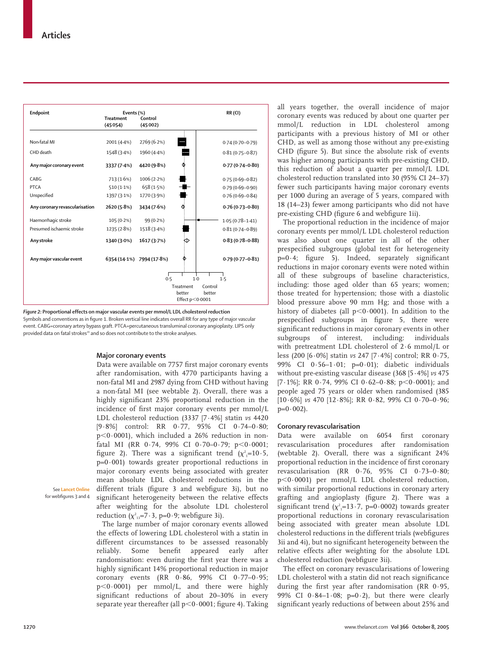| Endpoint                       | Events (%)<br><b>Treatment</b> | Control                   |                     | RR (CI)             |
|--------------------------------|--------------------------------|---------------------------|---------------------|---------------------|
|                                | (45054)                        | (45002)                   |                     |                     |
|                                |                                |                           |                     |                     |
| Non-fatal MI                   | 2001 (4.4%)                    | 2769 (6.2%)               |                     | $0.74(0.70 - 0.79)$ |
| CHD death                      | 1548 (3.4%)                    | 1960 (4.4%)               |                     | $0.81(0.75 - 0.87)$ |
| Any major coronary event       | 3337 (7.4%)                    | 4420 (9.8%)               | ۱                   | $0.77(0.74 - 0.80)$ |
| CABG                           | 713 (1.6%)                     | 1006(2.2%)                |                     | $0.75(0.69 - 0.82)$ |
| PTCA                           | $510(1.1\%)$                   | 658 (1.5%)                | Į                   | $0.79(0.69 - 0.90)$ |
| Unspecified                    | 1397 (3.1%)                    | 1770 (3.9%)               |                     | $0.76(0.69 - 0.84)$ |
| Any coronary revascularisation | 2620 (5.8%)                    | 3434 (7.6%)               | ¢                   | $0.76(0.73 - 0.80)$ |
| Haemorrhagic stroke            | 105(0.2%)                      | 99 (0.2%)                 |                     | $1.05(0.78 - 1.41)$ |
| Presumed ischaemic stroke      | 1235 (2.8%)                    | 1518 (3.4%)               |                     | $0.81(0.74 - 0.89)$ |
| Any stroke                     | 1340 (3.0%)                    | 1617 (3.7%)               | ⇘                   | $0.83(0.78 - 0.88)$ |
| Any major vascular event       |                                | 6354 (14.1%) 7994 (17.8%) | ♦                   | $0.79(0.77 - 0.81)$ |
|                                |                                | 0.5                       |                     | $1-0$<br>1.5        |
|                                |                                |                           | Treatment           | Control             |
|                                |                                |                           | better              | better              |
|                                |                                |                           | Effect $p < 0.0001$ |                     |

*Figure 2:* **Proportional effects on major vascular events per mmol/L LDL cholesterol reduction**  Symbols and conventions as in figure 1. Broken vertical line indicates overall RR for any type of major vascular event. CABG=coronary artery bypass graft. PTCA=percutaneous transluminal coronary angioplasty. LIPS only provided data on fatal strokes<sup>20</sup> and so does not contribute to the stroke analyses.

## **Major coronary events**

Data were available on 7757 first major coronary events after randomisation, with 4770 participants having a non-fatal MI and 2987 dying from CHD without having a non-fatal MI (see webtable 2). Overall, there was a highly significant 23% proportional reduction in the incidence of first major coronary events per mmol/L LDL cholesterol reduction (3337 [7·4%] statin *vs* 4420 [9·8%] control: RR 0·77, 95% CI 0·74–0·80; p-0·0001), which included a 26% reduction in nonfatal MI (RR 0.74, 99% CI 0.70–0.79; p<0.0001; figure 2). There was a significant trend  $(\chi^2_{1}=10.5,$  $p=0.001$ ) towards greater proportional reductions in major coronary events being associated with greater mean absolute LDL cholesterol reductions in the different trials (figure 3 and webfigure 3i), but no significant heterogeneity between the relative effects after weighting for the absolute LDL cholesterol reduction  $(\chi^2_{13}=7.3, p=0.9;$  webfigure 3i).

See **Lancet Online** for webfigures 3 and 4

> The large number of major coronary events allowed the effects of lowering LDL cholesterol with a statin in different circumstances to be assessed reasonably reliably. Some benefit appeared early after randomisation: even during the first year there was a highly significant 14% proportional reduction in major coronary events (RR 0·86, 99% CI 0·77–0·95; p-0·0001) per mmol/L, and there were highly significant reductions of about 20–30% in every separate year thereafter (all  $p< 0.0001$ ; figure 4). Taking

all years together, the overall incidence of major coronary events was reduced by about one quarter per mmol/L reduction in LDL cholesterol among participants with a previous history of MI or other CHD, as well as among those without any pre-existing CHD (figure 5). But since the absolute risk of events was higher among participants with pre-existing CHD, this reduction of about a quarter per mmol/L LDL cholesterol reduction translated into 30 (95% CI 24–37) fewer such participants having major coronary events per 1000 during an average of 5 years, compared with 18 (14–23) fewer among participants who did not have pre-existing CHD (figure 6 and webfigure 1ii).

The proportional reduction in the incidence of major coronary events per mmol/L LDL cholesterol reduction was also about one quarter in all of the other prespecified subgroups (global test for heterogeneity p=0·4; figure 5). Indeed, separately significant reductions in major coronary events were noted within all of these subgroups of baseline characteristics, including: those aged older than 65 years; women; those treated for hypertension; those with a diastolic blood pressure above 90 mm Hg; and those with a history of diabetes (all  $p<$ 0·0001). In addition to the prespecified subgroups in figure 5, there were significant reductions in major coronary events in other subgroups of interest, including: individuals with pretreatment LDL cholesterol of 2·6 mmol/L or less (200 [6·0%] statin *vs* 247 [7·4%] control; RR 0·75, 99% CI 0·56–1·01; p=0·01); diabetic individuals without pre-existing vascular disease (368 [5·4%] *vs* 475 [7 $\cdot$ 1%]; RR 0 $\cdot$ 74, 99% CI 0 $\cdot$ 62–0 $\cdot$ 88; p<0 $\cdot$ 0001); and people aged 75 years or older when randomised (385 [10·6%] *vs* 470 [12·8%]; RR 0·82, 99% CI 0·70–0·96;  $p=0.002$ ).

## **Coronary revascularisation**

Data were available on 6054 first coronary revascularisation procedures after randomisation (webtable 2). Overall, there was a significant 24% proportional reduction in the incidence of first coronary revascularisation (RR 0·76, 95% CI 0·73–0·80; p-0·0001) per mmol/L LDL cholesterol reduction, with similar proportional reductions in coronary artery grafting and angioplasty (figure 2). There was a significant trend ( $\chi^2$ <sub>1</sub>=13·7, p=0·0002) towards greater proportional reductions in coronary revascularisation being associated with greater mean absolute LDL cholesterol reductions in the different trials (webfigures 3ii and 4i), but no significant heterogeneity between the relative effects after weighting for the absolute LDL cholesterol reduction (webfigure 3ii).

The effect on coronary revascularisations of lowering LDL cholesterol with a statin did not reach significance during the first year after randomisation (RR 0·95, 99% CI 0.84-1.08;  $p=0.2$ ), but there were clearly significant yearly reductions of between about 25% and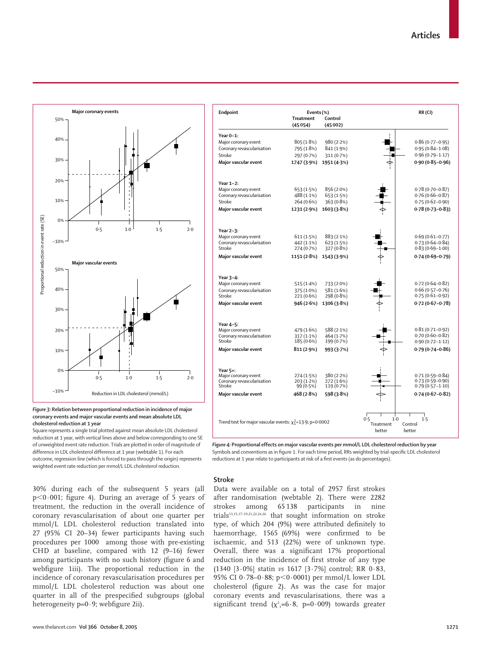**RR (CI)**

тI



| Major coronary event                                             | 805 (1.8%)                 | 980(2.2%)                |              | $0.86(0.77 - 0.95)$                        |
|------------------------------------------------------------------|----------------------------|--------------------------|--------------|--------------------------------------------|
| Coronary revascularisation                                       | 795 (1.8%)                 | 841 (1.9%)               |              | $0.95(0.84 - 1.08)$                        |
| Stroke                                                           | 297 (0.7%)                 | 311 (0.7%)               |              | $0.96(0.79 - 1.17)$                        |
| Major vascular event                                             | 1747 (3.9%)                | 1951 (4.3%)              |              | $0.90(0.85 - 0.96)$                        |
| Year 1-2:                                                        |                            |                          |              |                                            |
| Major coronary event                                             | 653 (1.5%)                 | 856 (2.0%)               |              | $0.78(0.70 - 0.87)$                        |
| Coronary revascularisation                                       | 488 (1.1%)                 | 653 (1.5%)               |              | $0.76(0.66 - 0.87)$                        |
| Stroke                                                           | 264 (0.6%)                 | 363 (0.8%)               |              | $0.75(0.62 - 0.90)$                        |
| Major vascular event                                             | 1231 (2.9%)                | 1603 (3.8%)              |              | $0.78(0.73 - 0.83)$                        |
| Year 2-3:                                                        |                            |                          |              |                                            |
| Major coronary event                                             | 611(1.5%)                  | 883(2.1%)                |              | $0.69(0.61 - 0.77)$                        |
| Coronary revascularisation<br>Stroke                             | 442 (1.1%)<br>274 (0.7%)   | 623 (1.5%)<br>327 (0.8%) |              | $0.73(0.64 - 0.84)$<br>$0.83(0.69 - 1.00)$ |
| Major vascular event                                             | 1151 (2.8%)                | 1543 (3.9%)              |              | $0.74(0.69 - 0.79)$                        |
|                                                                  |                            |                          |              |                                            |
| Year 3-4:                                                        |                            |                          |              |                                            |
| Major coronary event                                             | 515 (1.4%)                 | 733 (2.0%)               |              | $0.72(0.64 - 0.82)$<br>$0.66(0.57 - 0.76)$ |
| Coronary revascularisation<br>Stroke                             | 375 (1.0%)<br>221 (0.6%)   | 581 (1.6%)<br>298 (0.8%) |              | $0.75(0.61 - 0.92)$                        |
| Major vascular event                                             | 946 (2.6%)                 | 1306 (3.8%)              |              | $0.72(0.67 - 0.78)$                        |
|                                                                  |                            |                          |              |                                            |
| Year 4-5:                                                        |                            |                          |              |                                            |
| Major coronary event                                             | 479 (1.6%)                 | 588 (2.1%)               |              | $0.81(0.71 - 0.92)$<br>$0.70(0.60 - 0.82)$ |
| Coronary revascularisation<br>Stroke                             | $317(1.1\%)$<br>185 (0.6%) | 464 (1.7%)<br>199 (0.7%) |              | $0.90(0.72 - 1.12)$                        |
| Major vascular event                                             | 811 (2.9%)                 | 993 (3.7%)               |              | $0.79(0.74 - 0.86)$                        |
|                                                                  |                            |                          |              |                                            |
| Year $5+$ :<br>Major coronary event                              | 274 (1.5%)                 | 380(2.2%)                |              | $0.71(0.59 - 0.84)$                        |
| Coronary revascularisation                                       | 203 (1.2%)                 | 272 (1.6%)               |              | $0.73(0.59 - 0.90)$                        |
| Stroke                                                           | 99(0.5%)                   | 119 (0.7%)               |              | $0.79(0.57 - 1.10)$                        |
| Major vascular event                                             | 468 (2.8%)                 | 598 (3.8%)               |              | $0.74(0.67 - 0.82)$                        |
|                                                                  |                            |                          |              |                                            |
| Trend test for major vascular events: $\chi_1^2$ =13.9; p=0.0002 |                            |                          | 0.5<br>$1-0$ | 1.5                                        |
|                                                                  |                            |                          | Treatment    | Control                                    |

**Endpoint Events (%)**

**Year 0–1:**

**Treatment (45 054)**

**Control (45 002)**

*Figure 3:* **Relation between proportional reduction in incidence of major coronary events and major vascular events and mean absolute LDL cholesterol reduction at 1 year**

Square represents a single trial plotted against mean absolute LDL cholesterol reduction at 1 year, with vertical lines above and below corresponding to one SE of unweighted event rate reduction. Trials are plotted in order of magnitude of difference in LDL cholesterol difference at 1 year (webtable 1). For each outcome, regression line (which is forced to pass through the origin) represents weighted event rate reduction per mmol/L LDL cholesterol reduction.

30% during each of the subsequent 5 years (all p-0·001; figure 4). During an average of 5 years of treatment, the reduction in the overall incidence of coronary revascularisation of about one quarter per mmol/L LDL cholesterol reduction translated into 27 (95% CI 20–34) fewer participants having such procedures per 1000 among those with pre-existing CHD at baseline, compared with 12 (9–16) fewer among participants with no such history (figure 6 and webfigure 1iii). The proportional reduction in the incidence of coronary revascularisation procedures per mmol/L LDL cholesterol reduction was about one quarter in all of the prespecified subgroups (global heterogeneity  $p=0.9$ ; webfigure 2ii).

*Figure 4:* **Proportional effects on major vascular events per mmol/L LDL cholesterol reduction by year**  Symbols and conventions as in figure 1. For each time period, RRs weighted by trial-specific LDL cholesterol reductions at 1 year relate to participants at risk of a first events (as do percentages).

better

better

## **Stroke**

Data were available on a total of 2957 first strokes after randomisation (webtable 2). There were 2282 strokes among 65 138 participants in nine trials13,15,17–19,21,22,24,26 that sought information on stroke type, of which 204 (9%) were attributed definitely to haemorrhage, 1565 (69%) were confirmed to be ischaemic, and 513 (22%) were of unknown type. Overall, there was a significant 17% proportional reduction in the incidence of first stroke of any type (1340 [3·0%] statin *vs* 1617 [3·7%] control; RR 0·83, 95% CI 0·78–0·88; p-0·0001) per mmol/L lower LDL cholesterol (figure 2). As was the case for major coronary events and revascularisations, there was a significant trend ( $\chi^2$ <sub>1</sub>=6·8, p=0·009) towards greater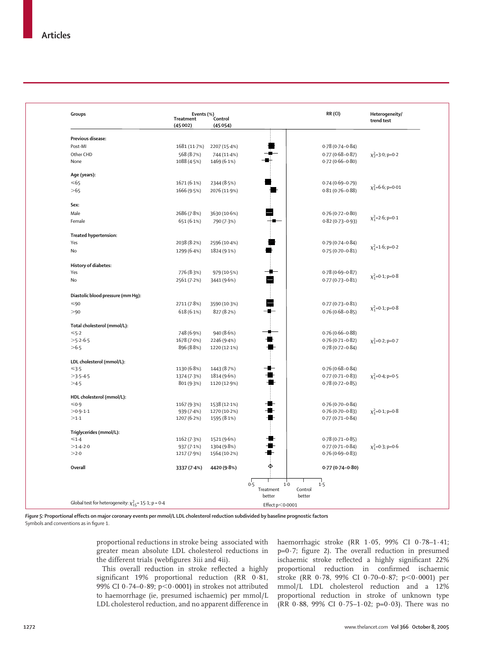| Groups                                                       | Treatment<br>(45002) | Events (%)<br>Control<br>(45054) |                     | RR (CI)             | Heterogeneity/<br>trend test |
|--------------------------------------------------------------|----------------------|----------------------------------|---------------------|---------------------|------------------------------|
|                                                              |                      |                                  |                     |                     |                              |
| Previous disease:                                            |                      |                                  |                     |                     |                              |
| Post-MI                                                      | 1681 (11.7%)         | 2207 (15-4%)                     |                     | $0.78(0.74 - 0.84)$ |                              |
| Other CHD                                                    | 568 (8.7%)           | 744 (11-4%)                      |                     | $0.77(0.68 - 0.87)$ | $\chi^2$ =3.0; p=0.2         |
| None                                                         | 1088 (4.5%)          | 1469 (6.1%)                      |                     | $0.72(0.66 - 0.80)$ |                              |
| Age (years):                                                 |                      |                                  |                     |                     |                              |
| $<\!\!65$                                                    | 1671 (6.1%)          | 2344 (8.5%)                      |                     | $0.74(0.69 - 0.79)$ |                              |
| >65                                                          | 1666 (9.5%)          | 2076 (11.9%)                     |                     | $0.81(0.76 - 0.88)$ | $\chi_1^2$ =6.6; p=0.01      |
| Sex:                                                         |                      |                                  |                     |                     |                              |
| Male                                                         | 2686 (7.8%)          | 3630 (10.6%)                     |                     | $0.76(0.72 - 0.80)$ |                              |
| Female                                                       | 651 (6.1%)           | 790 (7.3%)                       |                     | $0.82(0.73 - 0.93)$ | $\chi_1^2$ =2.6; p=0.1       |
|                                                              |                      |                                  |                     |                     |                              |
| Treated hypertension:<br>Yes                                 | 2038 (8.2%)          | 2596 (10-4%)                     |                     | $0.79(0.74 - 0.84)$ |                              |
| No                                                           | 1299 (6.4%)          | 1824 (9.1%)                      |                     | $0.75(0.70 - 0.81)$ | $\chi_1^2$ =1.6; p=0.2       |
|                                                              |                      |                                  |                     |                     |                              |
| History of diabetes:                                         |                      |                                  | ∙                   |                     |                              |
| Yes                                                          | 776 (8.3%)           | 979 (10.5%)                      |                     | $0.78(0.69 - 0.87)$ | $\chi_1^2$ =0.1; p=0.8       |
| No                                                           | 2561 (7.2%)          | 3441 (9.6%)                      | 2                   | $0.77(0.73 - 0.81)$ |                              |
| Diastolic blood pressure (mm Hg):                            |                      |                                  |                     |                     |                              |
| $<$ 90                                                       | 2711 (7.8%)          | 3590 (10.3%)                     |                     | $0.77(0.73 - 0.81)$ |                              |
| >90                                                          | 618 (6.1%)           | 827 (8.2%)                       |                     | $0.76(0.68 - 0.85)$ | $\chi_1^2$ =0.1; p=0.8       |
| Total cholesterol (mmol/L):                                  |                      |                                  |                     |                     |                              |
| $≤5.2$                                                       | 748 (6.9%)           | 940 (8.6%)                       |                     | $0.76(0.66 - 0.88)$ |                              |
| $>5.2 - 6.5$                                                 | 1678 (7.0%)          | 2246 (9.4%)                      |                     | $0.76(0.71 - 0.82)$ | $\chi_1^2$ =0.2; p=0.7       |
| >6.5                                                         | 896 (8.8%)           | 1220 (12-1%)                     |                     | $0.78(0.72 - 0.84)$ |                              |
| LDL cholesterol (mmol/L):                                    |                      |                                  |                     |                     |                              |
|                                                              | 1130 (6.8%)          | 1443 (8.7%)                      | x.                  | $0.76(0.68 - 0.84)$ |                              |
| $>3.5 - 4.5$                                                 | 1374 (7.3%)          | 1814 (9.6%)                      |                     | $0.77(0.71 - 0.83)$ | $\chi_1^2$ =0.4; p=0.5       |
| >4.5                                                         | 801 (9.3%)           | 1120 (12.9%)                     |                     | $0.78(0.72 - 0.85)$ |                              |
| HDL cholesterol (mmol/L):                                    |                      |                                  |                     |                     |                              |
| $≤0.9$                                                       | 1167 (9.3%)          | 1538 (12.1%)                     |                     | $0.76(0.70 - 0.84)$ |                              |
| $>0.9 - 1.1$                                                 | 939 (7.4%)           | 1270 (10-2%)                     |                     | $0.76(0.70 - 0.83)$ | $\chi_1^2$ =0.1; p=0.8       |
| >1.1                                                         | 1207 (6.2%)          | 1595 (8.1%)                      | ╋                   | $0.77(0.71 - 0.84)$ |                              |
| Triglycerides (mmol/L):                                      |                      |                                  |                     |                     |                              |
| $≤1.4$                                                       | 1162(7.3%)           | 1521 (9.6%)                      |                     | $0.78(0.71 - 0.85)$ |                              |
| $>1.4-2.0$                                                   | 937(7.1%)            | 1304 (9.8%)                      |                     | $0.77(0.71 - 0.84)$ | $\chi_1^2$ =0.3; p=0.6       |
| >2.0                                                         | 1217 (7.9%)          | 1564 (10.2%)                     |                     | $0.76(0.69 - 0.83)$ |                              |
| Overall                                                      | 3337 (7-4%)          | 4420 (9.8%)                      | $\Phi$              | $0.77(0.74 - 0.80)$ |                              |
|                                                              |                      |                                  | 0.5<br>1.0          | 1.5                 |                              |
|                                                              |                      |                                  | Treatment<br>better | Control<br>better   |                              |
| Global test for heterogeneity: $\chi^2_{15}$ = 15·1; p = 0·4 |                      |                                  | Effect p<0.0001     |                     |                              |

*Figure 5:* **Proportional effects on major coronary events per mmol/L LDL cholesterol reduction subdivided by baseline prognostic factors** Symbols and conventions as in figure 1.

> proportional reductions in stroke being associated with greater mean absolute LDL cholesterol reductions in the different trials (webfigures 3iii and 4ii).

> This overall reduction in stroke reflected a highly significant 19% proportional reduction (RR 0·81, 99% CI 0.74-0.89; p<0.0001) in strokes not attributed to haemorrhage (ie, presumed ischaemic) per mmol/L LDL cholesterol reduction, and no apparent difference in

haemorrhagic stroke (RR 1·05, 99% CI 0·78–1·41; p=0·7; figure 2). The overall reduction in presumed ischaemic stroke reflected a highly significant 22% proportional reduction in confirmed ischaemic stroke (RR 0·78, 99% CI 0·70–0·87; p<0·0001) per mmol/L LDL cholesterol reduction and a 12% proportional reduction in stroke of unknown type (RR 0·88, 99% CI 0·75–1·02; p=0·03). There was no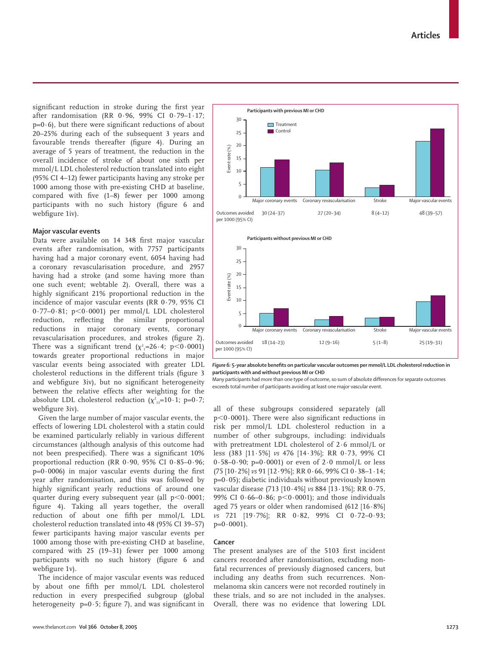significant reduction in stroke during the first year after randomisation (RR 0·96, 99% CI 0·79–1·17;  $p=0.6$ ), but there were significant reductions of about 20–25% during each of the subsequent 3 years and favourable trends thereafter (figure 4). During an average of 5 years of treatment, the reduction in the overall incidence of stroke of about one sixth per mmol/L LDL cholesterol reduction translated into eight (95% CI 4–12) fewer participants having any stroke per 1000 among those with pre-existing CHD at baseline, compared with five (1–8) fewer per 1000 among participants with no such history (figure 6 and webfigure 1iv).

## **Major vascular events**

Data were available on 14 348 first major vascular events after randomisation, with 7757 participants having had a major coronary event, 6054 having had a coronary revascularisation procedure, and 2957 having had a stroke (and some having more than one such event; webtable 2). Overall, there was a highly significant 21% proportional reduction in the incidence of major vascular events (RR 0·79, 95% CI 0.77–0.81; p<0.0001) per mmol/L LDL cholesterol reduction, reflecting the similar proportional reductions in major coronary events, coronary revascularisation procedures, and strokes (figure 2). There was a significant trend  $(\chi^2_{1}=26\cdot 4;\; p<0\cdot 0001)$ towards greater proportional reductions in major vascular events being associated with greater LDL cholesterol reductions in the different trials (figure 3 and webfigure 3iv), but no significant heterogeneity between the relative effects after weighting for the absolute LDL cholesterol reduction ( $\chi^2_{13}=10 \cdot 1$ ; p=0 $\cdot 7$ ; webfigure 3iv).

Given the large number of major vascular events, the effects of lowering LDL cholesterol with a statin could be examined particularly reliably in various different circumstances (although analysis of this outcome had not been prespecified). There was a significant 10% proportional reduction (RR 0·90, 95% CI 0·85–0·96;  $p=0.0006$ ) in major vascular events during the first year after randomisation, and this was followed by highly significant yearly reductions of around one quarter during every subsequent year (all  $p<0.0001$ ; figure 4). Taking all years together, the overall reduction of about one fifth per mmol/L LDL cholesterol reduction translated into 48 (95% CI 39–57) fewer participants having major vascular events per 1000 among those with pre-existing CHD at baseline, compared with 25 (19–31) fewer per 1000 among participants with no such history (figure 6 and webfigure 1v).

The incidence of major vascular events was reduced by about one fifth per mmol/L LDL cholesterol reduction in every prespecified subgroup (global heterogeneity  $p=0.5$ ; figure 7), and was significant in



*Figure 6:* **5-year absolute benefits on particular vascular outcomes per mmol/L LDL cholesterol reduction in participants with and without previous MI or CHD** 

Many participants had more than one type of outcome, so sum of absolute differences for separate outcomes exceeds total number of participants avoiding at least one major vascular event.

all of these subgroups considered separately (all p-0·0001). There were also significant reductions in risk per mmol/L LDL cholesterol reduction in a number of other subgroups, including: individuals with pretreatment LDL cholesterol of 2·6 mmol/L or less (383 [11·5%] *vs* 476 [14·3%]; RR 0·73, 99% CI  $0.58-0.90$ ; p= $0.0001$ ) or even of  $2.0 \text{ mmol/L}$  or less (75 [10·2%] *vs* 91 [12·9%]; RR 0·66, 99% CI 0·38–1·14;  $p=0.05$ ); diabetic individuals without previously known vascular disease (713 [10·4%] *vs* 884 [13·1%]; RR 0·75, 99% CI 0 $0.66 - 0.86$ ; p $< 0.0001$ ); and those individuals aged 75 years or older when randomised (612 [16·8%] *vs* 721 [19·7%]; RR 0·82, 99% CI 0·72–0·93;  $p=0.0001$ ).

#### **Cancer**

The present analyses are of the 5103 first incident cancers recorded after randomisation, excluding nonfatal recurrences of previously diagnosed cancers, but including any deaths from such recurrences. Nonmelanoma skin cancers were not recorded routinely in these trials, and so are not included in the analyses. Overall, there was no evidence that lowering LDL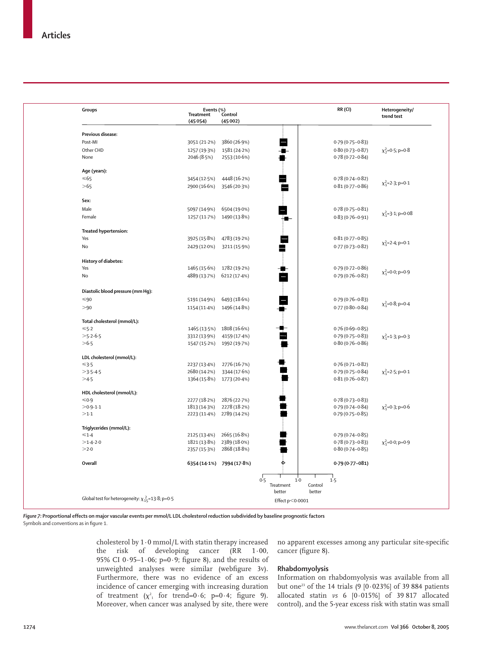| Groups                                                      | Treatment    | Events (%)<br>nent  Control |                                    | RR(CI)              |                         |
|-------------------------------------------------------------|--------------|-----------------------------|------------------------------------|---------------------|-------------------------|
|                                                             | (45054)      | (45002)                     |                                    |                     | trend test              |
|                                                             |              |                             |                                    |                     |                         |
| Previous disease:                                           |              |                             |                                    |                     |                         |
| Post-MI                                                     | 3051 (21.2%) | 3860 (26.9%)                |                                    | $0.79(0.75 - 0.83)$ |                         |
| Other CHD                                                   | 1257 (19.3%) | 1581 (24.2%)                |                                    | $0.80(0.73 - 0.87)$ | $\chi^2$ =0.5; p=0.8    |
| None                                                        | 2046 (8.5%)  | 2553 (10.6%)                |                                    | $0.78(0.72 - 0.84)$ |                         |
| Age (years):                                                |              |                             |                                    |                     |                         |
| $< 65$                                                      | 3454 (12.5%) | 4448 (16.2%)                |                                    | $0.78(0.74 - 0.82)$ |                         |
| >65                                                         | 2900 (16.6%) | 3546 (20.3%)                |                                    | $0.81(0.77 - 0.86)$ | $\chi_1^2$ =2.3; p=0.1  |
|                                                             |              |                             |                                    |                     |                         |
| Sex:                                                        |              |                             |                                    |                     |                         |
| Male                                                        | 5097 (14.9%) | 6504 (19.0%)                |                                    | $0.78(0.75 - 0.81)$ | $\chi_1^2$ =3.1; p=0.08 |
| Female                                                      | 1257 (11.7%) | 1490 (13.8%)                |                                    | $0.83(0.76 - 0.91)$ |                         |
| Treated hypertension:                                       |              |                             |                                    |                     |                         |
| Yes                                                         | 3925 (15.8%) | 4783 (19.2%)                |                                    | $0.81(0.77 - 0.85)$ |                         |
| No                                                          | 2429 (12.0%) | 3211 (15.9%)                |                                    | $0.77(0.73 - 0.82)$ | $\chi_1^2$ =2.4; p=0.1  |
|                                                             |              |                             |                                    |                     |                         |
| History of diabetes:                                        |              |                             |                                    |                     |                         |
| Yes                                                         | 1465 (15.6%) | 1782 (19-2%)                |                                    | $0.79(0.72 - 0.86)$ | $\chi_1^2$ =0.0; p=0.9  |
| No                                                          | 4889 (13.7%) | 6212 (17.4%)                |                                    | $0.79(0.76 - 0.82)$ |                         |
| Diastolic blood pressure (mm Hg):                           |              |                             |                                    |                     |                         |
| $< 90$                                                      | 5191 (14.9%) | 6493 (18.6%)                |                                    | $0.79(0.76 - 0.83)$ |                         |
| >90                                                         | 1154 (11-4%) | 1496 (14.8%)                |                                    | $0.77(0.80 - 0.84)$ | $\chi_1^2$ =0.8; p=0.4  |
| Total cholesterol (mmol/L):                                 |              |                             |                                    |                     |                         |
| $≤5.2$                                                      | 1465 (13.5%) | 1808 (16.6%)                |                                    | $0.76(0.69 - 0.85)$ |                         |
| $>5.2 - 6.5$                                                | 3312 (13.9%) | 4159 (17.4%)                |                                    | $0.79(0.75 - 0.83)$ |                         |
| >6.5                                                        |              |                             |                                    |                     | $\chi_1^2$ =1.3; p=0.3  |
|                                                             | 1547 (15.2%) | 1992 (19.7%)                |                                    | $0.80(0.76 - 0.86)$ |                         |
| LDL cholesterol (mmol/L):                                   |              |                             |                                    |                     |                         |
| ≤3.5                                                        | 2237 (13.4%) | 2776 (16.7%)                |                                    | $0.76(0.71 - 0.82)$ |                         |
| $>3.5 - 4.5$                                                | 2680 (14.2%) | 3344 (17.6%)                |                                    | $0.79(0.75 - 0.84)$ | $\chi_1^2$ =2.5; p=0.1  |
| >4.5                                                        | 1364 (15.8%) | 1773 (20-4%)                |                                    | $0.81(0.76 - 0.87)$ |                         |
| HDL cholesterol (mmol/L):                                   |              |                             |                                    |                     |                         |
| $≤0.9$                                                      | 2277 (18.2%) | 2876 (22.7%)                |                                    | $0.78(0.73 - 0.83)$ |                         |
| $>0.9 - 1.1$                                                | 1813 (14.3%) | 2278 (18.2%)                |                                    | $0.79(0.74 - 0.84)$ | $\chi_1^2$ =0.3; p=0.6  |
| >1.1                                                        | 2223 (11.4%) | 2789 (14.2%)                |                                    | $0.79(0.75 - 0.85)$ |                         |
| Triglycerides (mmol/L):                                     |              |                             |                                    |                     |                         |
| $≤1.4$                                                      | 2125 (13.4%) | 2665 (16.8%)                |                                    | $0.79(0.74 - 0.85)$ |                         |
| $>1.4-2.0$                                                  | 1821 (13.8%) | 2389 (18.0%)                |                                    | $0.78(0.73 - 0.83)$ | $\chi_1^2$ =0.0; p=0.9  |
| >2.0                                                        | 2357 (15.3%) | 2868 (18.8%)                |                                    | $0.80(0.74 - 0.85)$ |                         |
| Overall                                                     |              | 6354 (14.1%) 7994 (17.8%)   | Þ                                  | $0.79(0.77-081)$    |                         |
|                                                             |              |                             |                                    |                     |                         |
|                                                             |              |                             | 0.5<br>1.0<br>Treatment<br>Control | 1.5                 |                         |
|                                                             |              |                             | better<br>better                   |                     |                         |
| Global test for heterogeneity: $\chi^{2}_{15}$ =13.8; p=0.5 |              |                             | Effect $p<$ 0.0001                 |                     |                         |

*Figure 7:* **Proportional effects on major vascular events per mmol/L LDL cholesterol reduction subdivided by baseline prognostic factors** Symbols and conventions as in figure 1.

> cholesterol by 1·0 mmol/L with statin therapy increased the risk of developing cancer (RR 1·00, 95% CI 0 $0.95-1.06$ ; p=0 $0.9$ ; figure 8), and the results of unweighted analyses were similar (webfigure 3v). Furthermore, there was no evidence of an excess incidence of cancer emerging with increasing duration of treatment  $(\chi^2)$  for trend=0.6; p=0.4; figure 9). Moreover, when cancer was analysed by site, there were

no apparent excesses among any particular site-specific cancer (figure 8).

## **Rhabdomyolysis**

Information on rhabdomyolysis was available from all but one<sup>23</sup> of the 14 trials (9  $[0.023\%]$  of 39 884 patients allocated statin *vs* 6 [0·015%] of 39 817 allocated control), and the 5-year excess risk with statin was small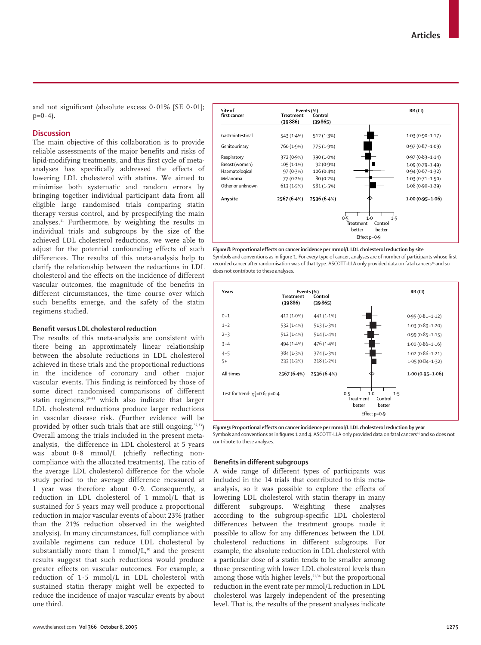and not significant (absolute excess  $0.01\%$  [SE  $0.01$ ];  $p=0.4$ ).

## **Discussion**

The main objective of this collaboration is to provide reliable assessments of the major benefits and risks of lipid-modifying treatments, and this first cycle of metaanalyses has specifically addressed the effects of lowering LDL cholesterol with statins. We aimed to minimise both systematic and random errors by bringing together individual participant data from all eligible large randomised trials comparing statin therapy versus control, and by prespecifying the main analyses.11 Furthermore, by weighting the results in individual trials and subgroups by the size of the achieved LDL cholesterol reductions, we were able to adjust for the potential confounding effects of such differences. The results of this meta-analysis help to clarify the relationship between the reductions in LDL cholesterol and the effects on the incidence of different vascular outcomes, the magnitude of the benefits in different circumstances, the time course over which such benefits emerge, and the safety of the statin regimens studied.



*Figure 8:* **Proportional effects on cancer incidence per mmol/L LDL cholesterol reduction by site** Symbols and conventions as in figure 1. For every type of cancer, analyses are of number of participants whose first recorded cancer after randomisation was of that type. ASCOTT-LLA only provided data on fatal cancers<sup>24</sup> and so does not contribute to these analyses.

| Years                                  | <b>Treatment</b><br>(39886) | Events (%)<br>Control<br>(39865) |                                                                 | RR(CI)              |
|----------------------------------------|-----------------------------|----------------------------------|-----------------------------------------------------------------|---------------------|
| $0 - 1$                                | 412 (1.0%)                  | 441 $(1.1%)$                     |                                                                 | $0.95(0.81 - 1.12)$ |
| $1 - 2$                                | 532 (1.4%)                  | 513 (1.3%)                       |                                                                 | $1.03(0.89 - 1.20)$ |
| $2 - 3$                                | 512 (1.4%)                  | 514(1.4%)                        |                                                                 | $0.99(0.85 - 1.15)$ |
| $3 - 4$                                | 494 (1.4%)                  | 476 (1.4%)                       |                                                                 | $1.00(0.86 - 1.16)$ |
| $4 - 5$                                | 384(1.3%)                   | 374(1.3%)                        |                                                                 | $1.02(0.86 - 1.21)$ |
| $5+$                                   | 233(1.3%)                   | $218(1.2\%)$                     |                                                                 | $1.05(0.84 - 1.32)$ |
| All times                              | 2567 (6.4%)                 | 2536 (6.4%)                      |                                                                 | $1.00(0.95 - 1.06)$ |
| Test for trend: $\chi_1^2$ =0.6; p=0.4 |                             |                                  | 0.5<br>$1-0$<br>1.5<br>Treatment<br>Control<br>better<br>better |                     |
|                                        |                             |                                  | Effect $p=0.9$                                                  |                     |

*Figure 9:* **Proportional effects on cancer incidence per mmol/L LDL cholesterol reduction by year**  Symbols and conventions as in figures 1 and 4. ASCOTT-LLA only provided data on fatal cancers<sup>24</sup> and so does not contribute to these analyses.

## **Benefits in different subgroups**

A wide range of different types of participants was included in the 14 trials that contributed to this metaanalysis, so it was possible to explore the effects of lowering LDL cholesterol with statin therapy in many different subgroups. Weighting these analyses according to the subgroup-specific LDL cholesterol differences between the treatment groups made it possible to allow for any differences between the LDL cholesterol reductions in different subgroups. For example, the absolute reduction in LDL cholesterol with a particular dose of a statin tends to be smaller among those presenting with lower LDL cholesterol levels than among those with higher levels,<sup>21,34</sup> but the proportional reduction in the event rate per mmol/L reduction in LDL cholesterol was largely independent of the presenting level. That is, the results of the present analyses indicate

## **Benefit versus LDL cholesterol reduction**

The results of this meta-analysis are consistent with there being an approximately linear relationship between the absolute reductions in LDL cholesterol achieved in these trials and the proportional reductions in the incidence of coronary and other major vascular events. This finding is reinforced by those of some direct randomised comparisons of different statin regimens,<sup>29-31</sup> which also indicate that larger LDL cholesterol reductions produce larger reductions in vascular disease risk. (Further evidence will be provided by other such trials that are still ongoing. $32,33$ ) Overall among the trials included in the present metaanalysis, the difference in LDL cholesterol at 5 years was about 0·8 mmol/L (chiefly reflecting noncompliance with the allocated treatments). The ratio of the average LDL cholesterol difference for the whole study period to the average difference measured at 1 year was therefore about 0·9. Consequently, a reduction in LDL cholesterol of 1 mmol/L that is sustained for 5 years may well produce a proportional reduction in major vascular events of about 23% (rather than the 21% reduction observed in the weighted analysis). In many circumstances, full compliance with available regimens can reduce LDL cholesterol by substantially more than 1 mmol/ $L^{10}$  and the present results suggest that such reductions would produce greater effects on vascular outcomes. For example, a reduction of 1·5 mmol/L in LDL cholesterol with sustained statin therapy might well be expected to reduce the incidence of major vascular events by about one third.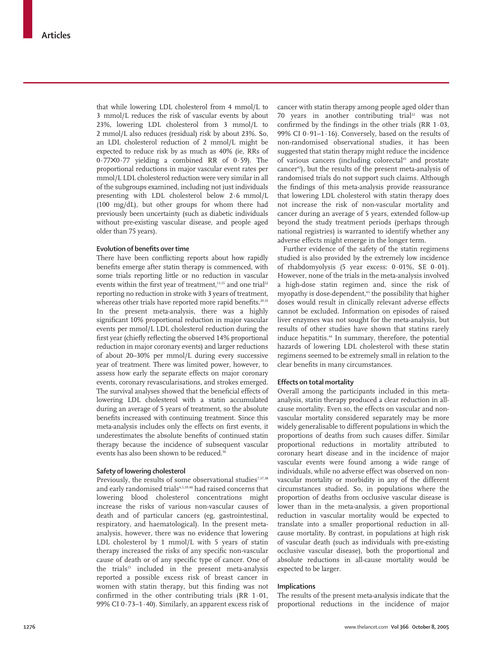that while lowering LDL cholesterol from 4 mmol/L to 3 mmol/L reduces the risk of vascular events by about 23%, lowering LDL cholesterol from 3 mmol/L to 2 mmol/L also reduces (residual) risk by about 23%. So, an LDL cholesterol reduction of 2 mmol/L might be expected to reduce risk by as much as 40% (ie, RRs of 0·77✕0·77 yielding a combined RR of 0·59). The proportional reductions in major vascular event rates per mmol/L LDL cholesterol reduction were very similar in all of the subgroups examined, including not just individuals presenting with LDL cholesterol below 2·6 mmol/L (100 mg/dL), but other groups for whom there had previously been uncertainty (such as diabetic individuals without pre-existing vascular disease, and people aged older than 75 years).

### **Evolution of benefits over time**

There have been conflicting reports about how rapidly benefits emerge after statin therapy is commenced, with some trials reporting little or no reduction in vascular events within the first year of treatment,<sup>13,15</sup> and one trial<sup>22</sup> reporting no reduction in stroke with 3 years of treatment, whereas other trials have reported more rapid benefits.<sup>29,35</sup> In the present meta-analysis, there was a highly significant 10% proportional reduction in major vascular events per mmol/L LDL cholesterol reduction during the first year (chiefly reflecting the observed 14% proportional reduction in major coronary events) and larger reductions of about 20–30% per mmol/L during every successive year of treatment. There was limited power, however, to assess how early the separate effects on major coronary events, coronary revascularisations, and strokes emerged. The survival analyses showed that the beneficial effects of lowering LDL cholesterol with a statin accumulated during an average of 5 years of treatment, so the absolute benefits increased with continuing treatment. Since this meta-analysis includes only the effects on first events, it underestimates the absolute benefits of continued statin therapy because the incidence of subsequent vascular events has also been shown to be reduced.<sup>36</sup>

## **Safety of lowering cholesterol**

Previously, the results of some observational studies<sup>7,37,38</sup> and early randomised trials<sup>4,5,39,40</sup> had raised concerns that lowering blood cholesterol concentrations might increase the risks of various non-vascular causes of death and of particular cancers (eg, gastrointestinal, respiratory, and haematological). In the present metaanalysis, however, there was no evidence that lowering LDL cholesterol by 1 mmol/L with 5 years of statin therapy increased the risks of any specific non-vascular cause of death or of any specific type of cancer. One of the trials<sup>15</sup> included in the present meta-analysis reported a possible excess risk of breast cancer in women with statin therapy, but this finding was not confirmed in the other contributing trials (RR 1·01, 99% CI 0 $-73-1.40$ ). Similarly, an apparent excess risk of cancer with statin therapy among people aged older than 70 years in another contributing trial $22$  was not confirmed by the findings in the other trials (RR 1·03, 99% CI 0·91–1·16). Conversely, based on the results of non-randomised observational studies, it has been suggested that statin therapy might reduce the incidence of various cancers (including colorectal<sup>41</sup> and prostate cancer<sup>42</sup>), but the results of the present meta-analysis of randomised trials do not support such claims. Although the findings of this meta-analysis provide reassurance that lowering LDL cholesterol with statin therapy does not increase the risk of non-vascular mortality and cancer during an average of 5 years, extended follow-up beyond the study treatment periods (perhaps through national registries) is warranted to identify whether any adverse effects might emerge in the longer term.

Further evidence of the safety of the statin regimens studied is also provided by the extremely low incidence of rhabdomyolysis (5 year excess: 0·01%, SE 0·01). However, none of the trials in the meta-analysis involved a high-dose statin regimen and, since the risk of myopathy is dose-dependent,<sup>43</sup> the possibility that higher doses would result in clinically relevant adverse effects cannot be excluded. Information on episodes of raised liver enzymes was not sought for the meta-analysis, but results of other studies have shown that statins rarely induce hepatitis.<sup>44</sup> In summary, therefore, the potential hazards of lowering LDL cholesterol with these statin regimens seemed to be extremely small in relation to the clear benefits in many circumstances.

## **Effects on total mortality**

Overall among the participants included in this metaanalysis, statin therapy produced a clear reduction in allcause mortality. Even so, the effects on vascular and nonvascular mortality considered separately may be more widely generalisable to different populations in which the proportions of deaths from such causes differ. Similar proportional reductions in mortality attributed to coronary heart disease and in the incidence of major vascular events were found among a wide range of individuals, while no adverse effect was observed on nonvascular mortality or morbidity in any of the different circumstances studied. So, in populations where the proportion of deaths from occlusive vascular disease is lower than in the meta-analysis, a given proportional reduction in vascular mortality would be expected to translate into a smaller proportional reduction in allcause mortality. By contrast, in populations at high risk of vascular death (such as individuals with pre-existing occlusive vascular disease), both the proportional and absolute reductions in all-cause mortality would be expected to be larger.

## **Implications**

The results of the present meta-analysis indicate that the proportional reductions in the incidence of major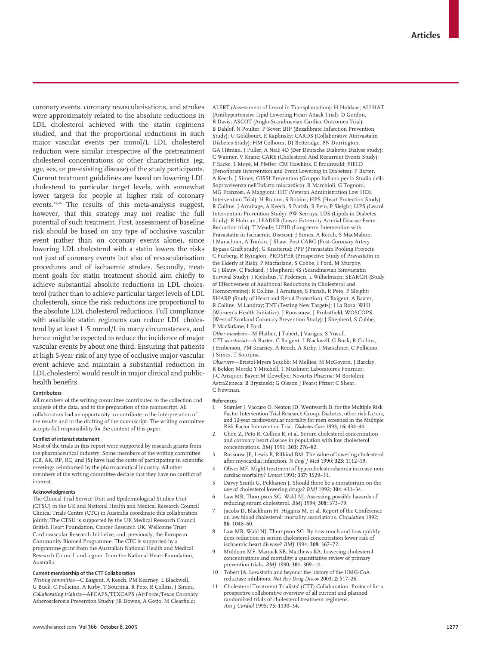coronary events, coronary revascularisations, and strokes were approximately related to the absolute reductions in LDL cholesterol achieved with the statin regimens studied, and that the proportional reductions in such major vascular events per mmol/L LDL cholesterol reduction were similar irrespective of the pretreatment cholesterol concentrations or other characteristics (eg, age, sex, or pre-existing disease) of the study participants. Current treatment guidelines are based on lowering LDL cholesterol to particular target levels, with somewhat lower targets for people at higher risk of coronary events.45,46 The results of this meta-analysis suggest, however, that this strategy may not realise the full potential of such treatment. First, assessment of baseline risk should be based on any type of occlusive vascular event (rather than on coronary events alone), since lowering LDL cholesterol with a statin lowers the risks not just of coronary events but also of revascularisation procedures and of ischaemic strokes. Secondly, treatment goals for statin treatment should aim chiefly to achieve substantial absolute reductions in LDL cholesterol (rather than to achieve particular target levels of LDL cholesterol), since the risk reductions are proportional to the absolute LDL cholesterol reductions. Full compliance with available statin regimens can reduce LDL cholesterol by at least 1·5 mmol/L in many circumstances, and hence might be expected to reduce the incidence of major vascular events by about one third. Ensuring that patients at high 5-year risk of any type of occlusive major vascular event achieve and maintain a substantial reduction in LDL cholesterol would result in major clinical and publichealth benefits.

#### **Contributors**

All members of the writing committee contributed to the collection and analysis of the data, and to the preparation of the manuscript. All collaborators had an opportunity to contribute to the interpretation of the results and to the drafting of the manuscript. The writing committee accepts full responsibility for the content of this paper.

#### **Conflict of interest statement**

Most of the trials in this report were supported by research grants from the pharmaceutical industry. Some members of the writing committee (CB, AK, RP, RC, and JS) have had the costs of participating in scientific meetings reimbursed by the pharmaceutical industry. All other members of the writing committee declare that they have no conflict of interest.

#### **Acknowledgments**

The Clinical Trial Service Unit and Epidemiological Studies Unit (CTSU) in the UK and National Health and Medical Research Council Clinical Trials Centre (CTC) in Australia coordinate this collaboration jointly. The CTSU is supported by the UK Medical Research Council, British Heart Foundation, Cancer Research UK, Wellcome Trust Cardiovascular Research Initiative, and, previously, the European Community Biomed Programme. The CTC is supported by a programme grant from the Australian National Health and Medical Research Council, and a grant from the National Heart Foundation, Australia.

#### **Current membership of the CTT Collaboration**

*Writing committee*—C Baigent, A Keech, PM Kearney, L Blackwell, G Buck, C Pollicino, A Kirby, T Sourjina, R Peto, R Collins, J Simes. *Collaborating trialists*—AFCAPS/TEXCAPS (AirForce/Texas Coronary Atherosclerosis Prevention Study): JR Downs, A Gotto, M Clearfield;

ALERT (Assessment of Lescol in Transplantation): H Holdaas; ALLHAT (Antihypertensive Lipid Lowering Heart Attack Trial): D Gordon, B Davis; ASCOT (Anglo-Scandinavian Cardiac Outcomes Trial): B Dahlof, N Poulter, P Sever; BIP (Bezafibrate Infarction Prevention Study): U Goldbourt, E Kaplinsky; CARDS (Collaborative Atorvastatin Diabetes Study): HM Colhoun, DJ Betteridge, PN Durrington, GA Hitman, J Fuller, A Neil; 4D (Der Deutsche Diabetes Dialyse study): C Wanner, V Krane; CARE (Cholesterol And Recurrent Events Study): F Sacks, L Moyé, M Pfeffer; CM Hawkins, E Braunwald; FIELD (Fenofibrate Intervention and Event Lowering in Diabetes): P Barter, A Keech, J Simes; GISSI Prevention (Gruppo Italiano per lo Studio della Sopravvivenza nell'Infarto miocardico): R Marchioli, G Tognoni, MG Franzosi, A Maggioni; HIT (Veteran Administration Low HDL Intervention Trial): H Rubins, S Robins; HPS (Heart Protection Study): R Collins, J Armitage, A Keech, S Parish, R Peto, P Sleight; LIPS (Lescol Intervention Prevention Study): PW Serruys; LDS (Lipids in Diabetes Study): R Holman; LEADER (Lower Extremity Arterial Disease Event Reduction trial): T Meade; LIPID (Long-term Intervention with Pravastatin in Ischaemic Disease): J Simes, A Keech, S MacMahon, I Marschner, A Tonkin, J Shaw; Post CABG (Post-Coronary Artery Bypass Graft study): G Knatterud; PPP (Pravastatin Pooling Project): C Furberg, R Byington; PROSPER (Prospective Study of Pravastatin in the Elderly at Risk): P Macfarlane, S Cobbe, I Ford, M Murphy, G J Blauw, C Packard, J Shepherd; 4S (Scandinavian Simvastatin Survival Study): J Kjekshus, T Pedersen, L Wilhelmsen; SEARCH (Study of Effectiveness of Additional Reductions in Cholesterol and Homocysteine): R Collins, J Armitage, S Parish, R Peto, P Sleight; SHARP (Study of Heart and Renal Protection): C Baigent, A Baxter, R Collins, M Landray; TNT (Testing New Targets): J La Rosa; WHI (Women's Health Initiative): J Roussouw, J Probstfield; WOSCOPS (West of Scotland Coronary Prevention Study): J Shepherd, S Cobbe, P Macfarlane, I Ford.

*Other members*—M Flather, J Tobert, J Varigos, S Yusuf. *CTT secretariat*—A Baxter, C Baigent, L Blackwell, G Buck, R Collins, J Emberson, PM Kearney, A Keech, A Kirby, I Marschner, C Pollicino, J Simes, T Sourjina.

*Observers*—Bristol-Myers Squibb: M Mellies, M McGovern, J Barclay, R Belder; Merck: Y Mitchell, T Musliner; Laboratoires Fournier: J-C Ansquer; Bayer: M Llewellyn; Novartis Pharma: M Bortolini; AstraZeneca: B Bryzinski; G Olsson J Pears; Pfizer: C Shear, C Newman.

#### **References**

- Stamler J, Vaccaro O, Neaton JD, Wentworth D, for the Multiple Risk Factor Intervention Trial Research Group. Diabetes, other risk factors, and 12-year cardiovascular mortality for men screened in the Multiple Risk Factor Intervention Trial. *Diabetes Care* 1993; **16:** 434–44.
- 2 Chen Z, Peto R, Collins R, et al. Serum cholesterol concentration and coronary heart disease in population with low cholesterol concentrations. *BMJ* 1991; **303:** 276–82.
- 3 Rossouw JE, Lewis B, Rifkind BM. The value of lowering cholesterol after myocardial infarction. *N Engl J Med* 1990; **323:** 1112–19.
- 4 Oliver MF. Might treatment of hypercholesterolaemia increase noncardiac mortality? *Lancet* 1991; **337:** 1529–31.
- 5 Davey Smith G, Pekkanen J. Should there be a moratorium on the use of cholesterol lowering drugs? *BMJ* 1992; **304:** 431–34.
- Law MR, Thompson SG, Wald NJ. Assessing possible hazards of reducing serum cholesterol. *BMJ* 1994; **308:** 373–79.
- Jacobs D, Blackburn H, Higgins M, et al. Report of the Conference on low blood cholesterol: mortality associations. *Circulation* 1992; **86:** 1046–60.
- Law MR, Wald NJ, Thompson SG. By how much and how quickly does reduction in serum cholesterol concentration lower risk of ischaemic heart disease? *BMJ* 1994; **308:** 367–72.
- 9 Muldoon MF, Manuck SB, Matthews KA. Lowering cholesterol concentrations and mortality: a quantitative review of primary prevention trials. *BMJ* 1990; **301:** 309–14.
- 10 Tobert JA. Lovastatin and beyond: the history of the HMG-CoA reductase inhibitors. *Nat Rev Drug Discov* 2003; **2:** 517–26.
- 11 Cholesterol Treatment Trialists' (CTT) Collaboration. Protocol for a prospective collaborative overview of all current and planned randomized trials of cholesterol treatment regimens. *Am J Cardiol* 1995; **75:** 1130–34.